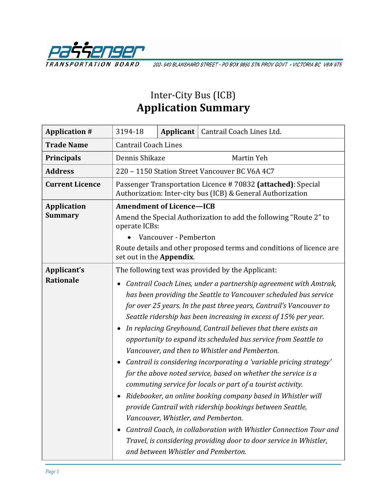

202-940 BLANSHARD STREET · PO BOX 9850 STN PROV GOVT · VICTORIA BC V8W 9T5

# Inter-City Bus (ICB) **Application Summary**

| <b>Application #</b>            | 3194-18                                                                                                                                                                                                                                                                                                                                                                                                                                                                                                                                                                                                                                                                                                                                                                                                                                                                                                                                                                                                                                                                                                  |  | Applicant   Cantrail Coach Lines Ltd. |  |
|---------------------------------|----------------------------------------------------------------------------------------------------------------------------------------------------------------------------------------------------------------------------------------------------------------------------------------------------------------------------------------------------------------------------------------------------------------------------------------------------------------------------------------------------------------------------------------------------------------------------------------------------------------------------------------------------------------------------------------------------------------------------------------------------------------------------------------------------------------------------------------------------------------------------------------------------------------------------------------------------------------------------------------------------------------------------------------------------------------------------------------------------------|--|---------------------------------------|--|
| <b>Trade Name</b>               | <b>Cantrail Coach Lines</b>                                                                                                                                                                                                                                                                                                                                                                                                                                                                                                                                                                                                                                                                                                                                                                                                                                                                                                                                                                                                                                                                              |  |                                       |  |
| <b>Principals</b>               | Dennis Shikaze<br>Martin Yeh                                                                                                                                                                                                                                                                                                                                                                                                                                                                                                                                                                                                                                                                                                                                                                                                                                                                                                                                                                                                                                                                             |  |                                       |  |
| <b>Address</b>                  | 220 - 1150 Station Street Vancouver BC V6A 4C7                                                                                                                                                                                                                                                                                                                                                                                                                                                                                                                                                                                                                                                                                                                                                                                                                                                                                                                                                                                                                                                           |  |                                       |  |
| <b>Current Licence</b>          | Passenger Transportation Licence #70832 (attached): Special<br>Authorization: Inter-city bus (ICB) & General Authorization                                                                                                                                                                                                                                                                                                                                                                                                                                                                                                                                                                                                                                                                                                                                                                                                                                                                                                                                                                               |  |                                       |  |
| <b>Application</b><br>Summary   | <b>Amendment of Licence-ICB</b><br>Amend the Special Authorization to add the following "Route 2" to<br>operate ICBs:<br>Vancouver - Pemberton                                                                                                                                                                                                                                                                                                                                                                                                                                                                                                                                                                                                                                                                                                                                                                                                                                                                                                                                                           |  |                                       |  |
|                                 | Route details and other proposed terms and conditions of licence are<br>set out in the Appendix.                                                                                                                                                                                                                                                                                                                                                                                                                                                                                                                                                                                                                                                                                                                                                                                                                                                                                                                                                                                                         |  |                                       |  |
| Applicant's<br><b>Rationale</b> | The following text was provided by the Applicant:<br>Cantrail Coach Lines, under a partnership agreement with Amtrak,<br>has been providing the Seattle to Vancouver scheduled bus service<br>for over 25 years. In the past three years, Cantrail's Vancouver to<br>Seattle ridership has been increasing in excess of 15% per year.<br>In replacing Greyhound, Cantrail believes that there exists an<br>opportunity to expand its scheduled bus service from Seattle to<br>Vancouver, and then to Whistler and Pemberton.<br>Cantrail is considering incorporating a 'variable pricing strategy'<br>$\bullet$<br>for the above noted service, based on whether the service is a<br>commuting service for locals or part of a tourist activity.<br>Ridebooker, an online booking company based in Whistler will<br>provide Cantrail with ridership bookings between Seattle,<br>Vancouver, Whistler, and Pemberton.<br>Cantrail Coach, in collaboration with Whistler Connection Tour and<br>Travel, is considering providing door to door service in Whistler,<br>and between Whistler and Pemberton. |  |                                       |  |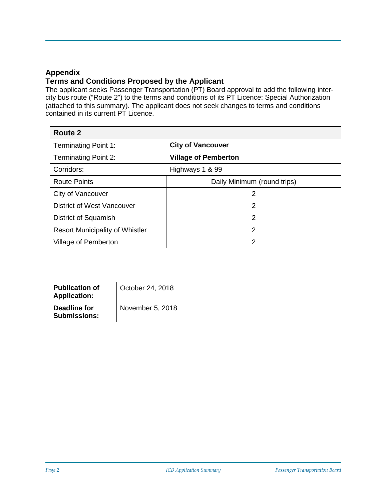### **Appendix**

### **Terms and Conditions Proposed by the Applicant**

The applicant seeks Passenger Transportation (PT) Board approval to add the following intercity bus route ("Route 2") to the terms and conditions of its PT Licence: Special Authorization (attached to this summary). The applicant does not seek changes to terms and conditions contained in its current PT Licence.

| Route 2                                |                             |
|----------------------------------------|-----------------------------|
| <b>Terminating Point 1:</b>            | <b>City of Vancouver</b>    |
| <b>Terminating Point 2:</b>            | <b>Village of Pemberton</b> |
| Corridors:                             | Highways 1 & 99             |
| <b>Route Points</b>                    | Daily Minimum (round trips) |
| City of Vancouver                      | 2                           |
| <b>District of West Vancouver</b>      | 2                           |
| District of Squamish                   | 2                           |
| <b>Resort Municipality of Whistler</b> | 2                           |
| Village of Pemberton                   | 2                           |

| <b>Publication of</b><br><b>Application:</b> | October 24, 2018 |
|----------------------------------------------|------------------|
| Deadline for<br><b>Submissions:</b>          | November 5, 2018 |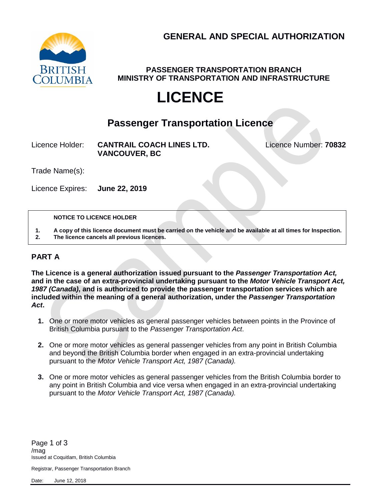**GENERAL AND SPECIAL AUTHORIZATION**



**PASSENGER TRANSPORTATION BRANCH MINISTRY OF TRANSPORTATION AND INFRASTRUCTURE**

# **LICENCE**

## **Passenger Transportation Licence**

Licence Holder: **CANTRAIL COACH LINES LTD.** Licence Number: **70832 VANCOUVER, BC**

Trade Name(s):

Licence Expires: **June 22, 2019**

#### **NOTICE TO LICENCE HOLDER**

**1. A copy of this licence document must be carried on the vehicle and be available at all times for Inspection. 2. The licence cancels all previous licences.**

### **PART A**

**The Licence is a general authorization issued pursuant to the** *Passenger Transportation Act,*  **and in the case of an extra-provincial undertaking pursuant to the** *Motor Vehicle Transport Act, 1987 (Canada)***, and is authorized to provide the passenger transportation services which are included within the meaning of a general authorization, under the** *Passenger Transportation Act***.**

- **1.** One or more motor vehicles as general passenger vehicles between points in the Province of British Columbia pursuant to the *Passenger Transportation Act*.
- **2.** One or more motor vehicles as general passenger vehicles from any point in British Columbia and beyond the British Columbia border when engaged in an extra-provincial undertaking pursuant to the *Motor Vehicle Transport Act, 1987 (Canada).*
- **3.** One or more motor vehicles as general passenger vehicles from the British Columbia border to any point in British Columbia and vice versa when engaged in an extra-provincial undertaking pursuant to the *Motor Vehicle Transport Act, 1987 (Canada).*

Registrar, Passenger Transportation Branch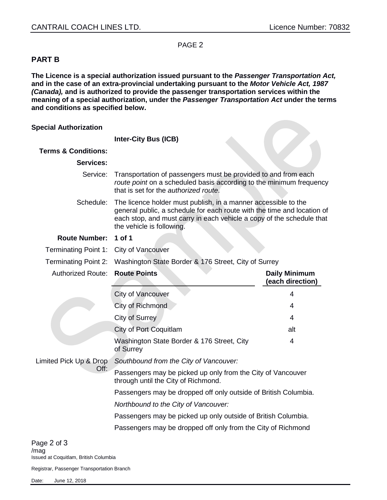PAGE 2

### **PART B**

**The Licence is a special authorization issued pursuant to the** *Passenger Transportation Act,*  **and in the case of an extra-provincial undertaking pursuant to the** *Motor Vehicle Act, 1987 (Canada),* **and is authorized to provide the passenger transportation services within the meaning of a special authorization, under the** *Passenger Transportation Act* **under the terms and conditions as specified below.**

| <b>Special Authorization</b>           |                                                                                                                                                                                                                                                 |                                          |  |
|----------------------------------------|-------------------------------------------------------------------------------------------------------------------------------------------------------------------------------------------------------------------------------------------------|------------------------------------------|--|
|                                        | <b>Inter-City Bus (ICB)</b>                                                                                                                                                                                                                     |                                          |  |
| <b>Terms &amp; Conditions:</b>         |                                                                                                                                                                                                                                                 |                                          |  |
| <b>Services:</b>                       |                                                                                                                                                                                                                                                 |                                          |  |
| Service: :                             | Transportation of passengers must be provided to and from each<br>route point on a scheduled basis according to the minimum frequency<br>that is set for the authorized route.                                                                  |                                          |  |
| Schedule: :                            | The licence holder must publish, in a manner accessible to the<br>general public, a schedule for each route with the time and location of<br>each stop, and must carry in each vehicle a copy of the schedule that<br>the vehicle is following. |                                          |  |
| <b>Route Number:</b>                   | 1 of 1                                                                                                                                                                                                                                          |                                          |  |
| Terminating Point 1: City of Vancouver |                                                                                                                                                                                                                                                 |                                          |  |
| Terminating Point 2: <b>}</b>          | Washington State Border & 176 Street, City of Surrey                                                                                                                                                                                            |                                          |  |
| <b>Authorized Route:</b>               | <b>Route Points</b>                                                                                                                                                                                                                             | <b>Daily Minimum</b><br>(each direction) |  |
| Limited Pick Up & Drop:<br>Off:        | <b>City of Vancouver</b>                                                                                                                                                                                                                        | 4                                        |  |
|                                        | City of Richmond                                                                                                                                                                                                                                | 4                                        |  |
|                                        | <b>City of Surrey</b>                                                                                                                                                                                                                           | 4                                        |  |
|                                        | <b>City of Port Coquitlam</b>                                                                                                                                                                                                                   | alt                                      |  |
|                                        | Washington State Border & 176 Street, City<br>of Surrey                                                                                                                                                                                         | 4                                        |  |
|                                        | Southbound from the City of Vancouver:                                                                                                                                                                                                          |                                          |  |
|                                        | Passengers may be picked up only from the City of Vancouver<br>through until the City of Richmond.                                                                                                                                              |                                          |  |
|                                        | Passengers may be dropped off only outside of British Columbia.                                                                                                                                                                                 |                                          |  |
|                                        | Northbound to the City of Vancouver:                                                                                                                                                                                                            |                                          |  |
|                                        | Passengers may be picked up only outside of British Columbia.                                                                                                                                                                                   |                                          |  |
|                                        | Passengers may be dropped off only from the City of Richmond                                                                                                                                                                                    |                                          |  |

Page 2 of 3 /mag Issued at Coquitlam, British Columbia

Registrar, Passenger Transportation Branch